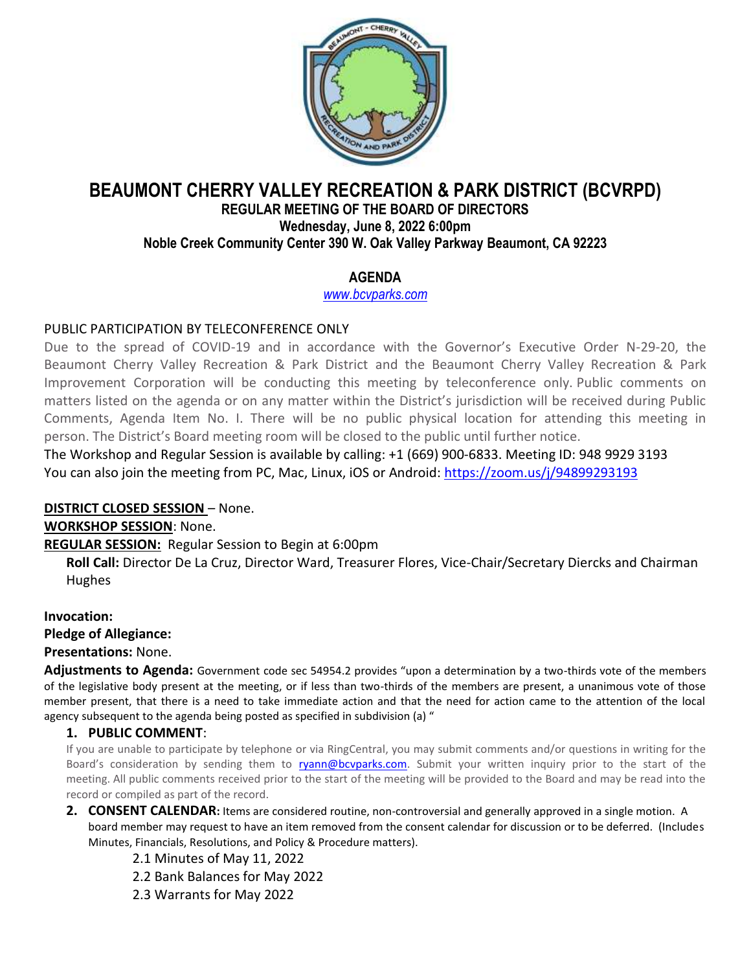

# **BEAUMONT CHERRY VALLEY RECREATION & PARK DISTRICT (BCVRPD)**

#### **REGULAR MEETING OF THE BOARD OF DIRECTORS Wednesday, June 8, 2022 6:00pm Noble Creek Community Center 390 W. Oak Valley Parkway Beaumont, CA 92223**

# **AGENDA**

*[www.bcvparks.com](http://www.bcvparks.com/)*

## PUBLIC PARTICIPATION BY TELECONFERENCE ONLY

Due to the spread of COVID-19 and in accordance with the Governor's Executive Order N-29-20, the Beaumont Cherry Valley Recreation & Park District and the Beaumont Cherry Valley Recreation & Park Improvement Corporation will be conducting this meeting by teleconference only. Public comments on matters listed on the agenda or on any matter within the District's jurisdiction will be received during Public Comments, Agenda Item No. I. There will be no public physical location for attending this meeting in person. The District's Board meeting room will be closed to the public until further notice.

The Workshop and Regular Session is available by calling: +1 (669) 900-6833. Meeting ID: 948 9929 3193 You can also join the meeting from PC, Mac, Linux, iOS or Android: https://zoom.us/j/94899293193

## **DISTRICT CLOSED SESSION** – None.

**WORKSHOP SESSION**: None.

**REGULAR SESSION:** Regular Session to Begin at 6:00pm

**Roll Call:** Director De La Cruz, Director Ward, Treasurer Flores, Vice-Chair/Secretary Diercks and Chairman Hughes

**Invocation:**

**Pledge of Allegiance:**

**Presentations:** None.

**Adjustments to Agenda:** Government code sec 54954.2 provides "upon a determination by a two-thirds vote of the members of the legislative body present at the meeting, or if less than two-thirds of the members are present, a unanimous vote of those member present, that there is a need to take immediate action and that the need for action came to the attention of the local agency subsequent to the agenda being posted as specified in subdivision (a) "

## **1. PUBLIC COMMENT**:

If you are unable to participate by telephone or via RingCentral, you may submit comments and/or questions in writing for the Board's consideration by sending them to [ryann@bcvparks.com.](mailto:ryann@bcvparks.com) Submit your written inquiry prior to the start of the meeting. All public comments received prior to the start of the meeting will be provided to the Board and may be read into the record or compiled as part of the record.

- **2. CONSENT CALENDAR:** Items are considered routine, non-controversial and generally approved in a single motion. A board member may request to have an item removed from the consent calendar for discussion or to be deferred. (Includes Minutes, Financials, Resolutions, and Policy & Procedure matters).
	- 2.1 Minutes of May 11, 2022
	- 2.2 Bank Balances for May 2022
	- 2.3 Warrants for May 2022